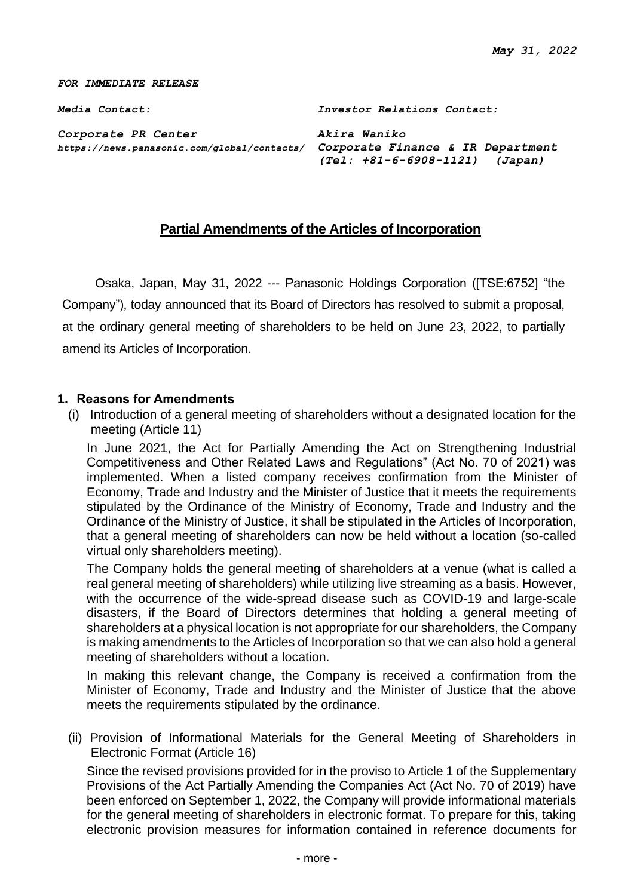#### *FOR IMMEDIATE RELEASE*

*Media Contact: Investor Relations Contact:*

*Corporate PR Center Akira Waniko https://news.panasonic.com/global/contacts/ Corporate Finance & IR Department*

*(Tel: +81-6-6908-1121) (Japan)*

## **Partial Amendments of the Articles of Incorporation**

Osaka, Japan, May 31, 2022 --- Panasonic Holdings Corporation ([TSE:6752] "the Company"), today announced that its Board of Directors has resolved to submit a proposal, at the ordinary general meeting of shareholders to be held on June 23, 2022, to partially amend its Articles of Incorporation.

### **1. Reasons for Amendments**

(i) Introduction of a general meeting of shareholders without a designated location for the meeting (Article 11)

In June 2021, the Act for Partially Amending the Act on Strengthening Industrial Competitiveness and Other Related Laws and Regulations" (Act No. 70 of 2021) was implemented. When a listed company receives confirmation from the Minister of Economy, Trade and Industry and the Minister of Justice that it meets the requirements stipulated by the Ordinance of the Ministry of Economy, Trade and Industry and the Ordinance of the Ministry of Justice, it shall be stipulated in the Articles of Incorporation, that a general meeting of shareholders can now be held without a location (so-called virtual only shareholders meeting).

The Company holds the general meeting of shareholders at a venue (what is called a real general meeting of shareholders) while utilizing live streaming as a basis. However, with the occurrence of the wide-spread disease such as COVID-19 and large-scale disasters, if the Board of Directors determines that holding a general meeting of shareholders at a physical location is not appropriate for our shareholders, the Company is making amendments to the Articles of Incorporation so that we can also hold a general meeting of shareholders without a location.

In making this relevant change, the Company is received a confirmation from the Minister of Economy, Trade and Industry and the Minister of Justice that the above meets the requirements stipulated by the ordinance.

(ii) Provision of Informational Materials for the General Meeting of Shareholders in Electronic Format (Article 16)

Since the revised provisions provided for in the proviso to Article 1 of the Supplementary Provisions of the Act Partially Amending the Companies Act (Act No. 70 of 2019) have been enforced on September 1, 2022, the Company will provide informational materials for the general meeting of shareholders in electronic format. To prepare for this, taking electronic provision measures for information contained in reference documents for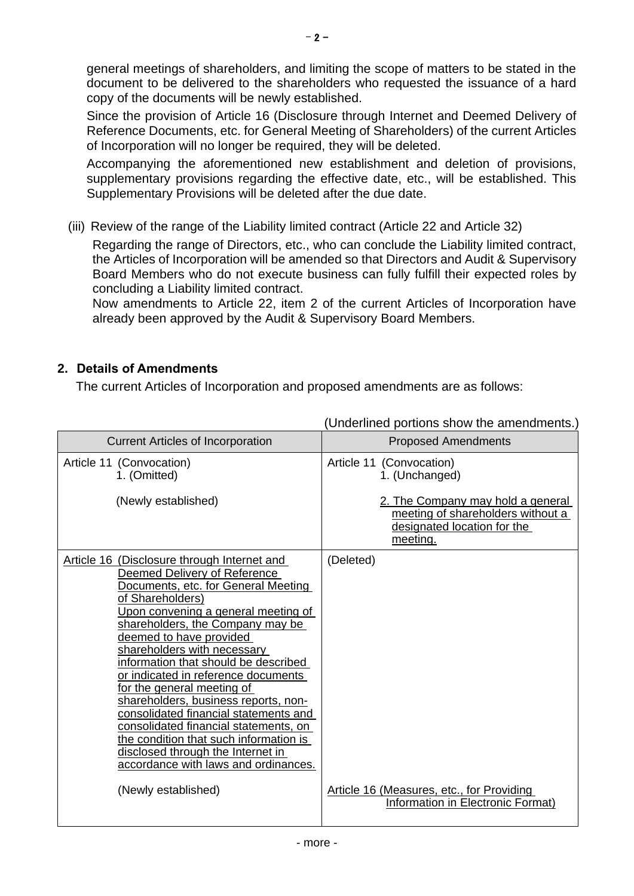general meetings of shareholders, and limiting the scope of matters to be stated in the document to be delivered to the shareholders who requested the issuance of a hard copy of the documents will be newly established.

Since the provision of Article 16 (Disclosure through Internet and Deemed Delivery of Reference Documents, etc. for General Meeting of Shareholders) of the current Articles of Incorporation will no longer be required, they will be deleted.

Accompanying the aforementioned new establishment and deletion of provisions, supplementary provisions regarding the effective date, etc., will be established. This Supplementary Provisions will be deleted after the due date.

(iii) Review of the range of the Liability limited contract (Article 22 and Article 32)

Regarding the range of Directors, etc., who can conclude the Liability limited contract, the Articles of Incorporation will be amended so that Directors and Audit & Supervisory Board Members who do not execute business can fully fulfill their expected roles by concluding a Liability limited contract.

Now amendments to Article 22, item 2 of the current Articles of Incorporation have already been approved by the Audit & Supervisory Board Members.

## **2. Details of Amendments**

The current Articles of Incorporation and proposed amendments are as follows:

|                                                                                                                                                                                                                                                                                                                                                                                                                                                                                                                                                                                                                                                                  | <u>Chaelillied portions show the amendments.</u>                                                                  |
|------------------------------------------------------------------------------------------------------------------------------------------------------------------------------------------------------------------------------------------------------------------------------------------------------------------------------------------------------------------------------------------------------------------------------------------------------------------------------------------------------------------------------------------------------------------------------------------------------------------------------------------------------------------|-------------------------------------------------------------------------------------------------------------------|
| <b>Current Articles of Incorporation</b>                                                                                                                                                                                                                                                                                                                                                                                                                                                                                                                                                                                                                         | <b>Proposed Amendments</b>                                                                                        |
| Article 11 (Convocation)<br>1. (Omitted)                                                                                                                                                                                                                                                                                                                                                                                                                                                                                                                                                                                                                         | Article 11 (Convocation)<br>1. (Unchanged)                                                                        |
| (Newly established)                                                                                                                                                                                                                                                                                                                                                                                                                                                                                                                                                                                                                                              | 2. The Company may hold a general<br>meeting of shareholders without a<br>designated location for the<br>meeting. |
| Article 16 (Disclosure through Internet and<br>Deemed Delivery of Reference<br>Documents, etc. for General Meeting<br>of Shareholders)<br>Upon convening a general meeting of<br>shareholders, the Company may be<br>deemed to have provided<br>shareholders with necessary<br>information that should be described<br>or indicated in reference documents<br>for the general meeting of<br>shareholders, business reports, non-<br>consolidated financial statements and<br>consolidated financial statements, on<br>the condition that such information is<br>disclosed through the Internet in<br>accordance with laws and ordinances.<br>(Newly established) | (Deleted)<br>Article 16 (Measures, etc., for Providing<br>Information in Electronic Format)                       |

(Underlined portions show the amendments.)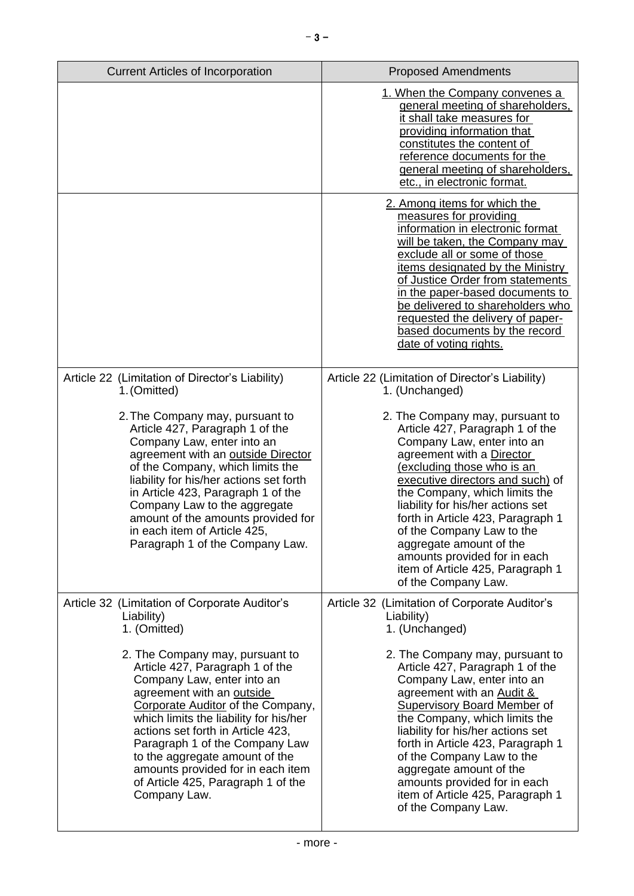| <b>Current Articles of Incorporation</b>                                                                                                                                                                                                                                                                                                                                                                         | <b>Proposed Amendments</b>                                                                                                                                                                                                                                                                                                                                                                                                                                    |
|------------------------------------------------------------------------------------------------------------------------------------------------------------------------------------------------------------------------------------------------------------------------------------------------------------------------------------------------------------------------------------------------------------------|---------------------------------------------------------------------------------------------------------------------------------------------------------------------------------------------------------------------------------------------------------------------------------------------------------------------------------------------------------------------------------------------------------------------------------------------------------------|
|                                                                                                                                                                                                                                                                                                                                                                                                                  | 1. When the Company convenes a<br>general meeting of shareholders.<br>it shall take measures for<br>providing information that<br>constitutes the content of<br>reference documents for the<br>general meeting of shareholders,<br>etc., in electronic format.                                                                                                                                                                                                |
|                                                                                                                                                                                                                                                                                                                                                                                                                  | 2. Among items for which the<br>measures for providing<br>information in electronic format<br>will be taken, the Company may<br>exclude all or some of those<br>items designated by the Ministry<br>of Justice Order from statements<br>in the paper-based documents to<br>be delivered to shareholders who<br>requested the delivery of paper-<br>based documents by the record<br>date of voting rights.                                                    |
| Article 22 (Limitation of Director's Liability)<br>1. (Omitted)                                                                                                                                                                                                                                                                                                                                                  | Article 22 (Limitation of Director's Liability)<br>1. (Unchanged)                                                                                                                                                                                                                                                                                                                                                                                             |
| 2. The Company may, pursuant to<br>Article 427, Paragraph 1 of the<br>Company Law, enter into an<br>agreement with an outside Director<br>of the Company, which limits the<br>liability for his/her actions set forth<br>in Article 423, Paragraph 1 of the<br>Company Law to the aggregate<br>amount of the amounts provided for<br>in each item of Article 425,<br>Paragraph 1 of the Company Law.             | 2. The Company may, pursuant to<br>Article 427, Paragraph 1 of the<br>Company Law, enter into an<br>agreement with a Director<br>(excluding those who is an<br>executive directors and such) of<br>the Company, which limits the<br>liability for his/her actions set<br>forth in Article 423, Paragraph 1<br>of the Company Law to the<br>aggregate amount of the<br>amounts provided for in each<br>item of Article 425, Paragraph 1<br>of the Company Law. |
| Article 32 (Limitation of Corporate Auditor's<br>Liability)<br>1. (Omitted)                                                                                                                                                                                                                                                                                                                                      | Article 32 (Limitation of Corporate Auditor's<br>Liability)<br>1. (Unchanged)                                                                                                                                                                                                                                                                                                                                                                                 |
| 2. The Company may, pursuant to<br>Article 427, Paragraph 1 of the<br>Company Law, enter into an<br>agreement with an outside<br>Corporate Auditor of the Company,<br>which limits the liability for his/her<br>actions set forth in Article 423,<br>Paragraph 1 of the Company Law<br>to the aggregate amount of the<br>amounts provided for in each item<br>of Article 425, Paragraph 1 of the<br>Company Law. | 2. The Company may, pursuant to<br>Article 427, Paragraph 1 of the<br>Company Law, enter into an<br>agreement with an Audit &<br><b>Supervisory Board Member of</b><br>the Company, which limits the<br>liability for his/her actions set<br>forth in Article 423, Paragraph 1<br>of the Company Law to the<br>aggregate amount of the<br>amounts provided for in each<br>item of Article 425, Paragraph 1<br>of the Company Law.                             |